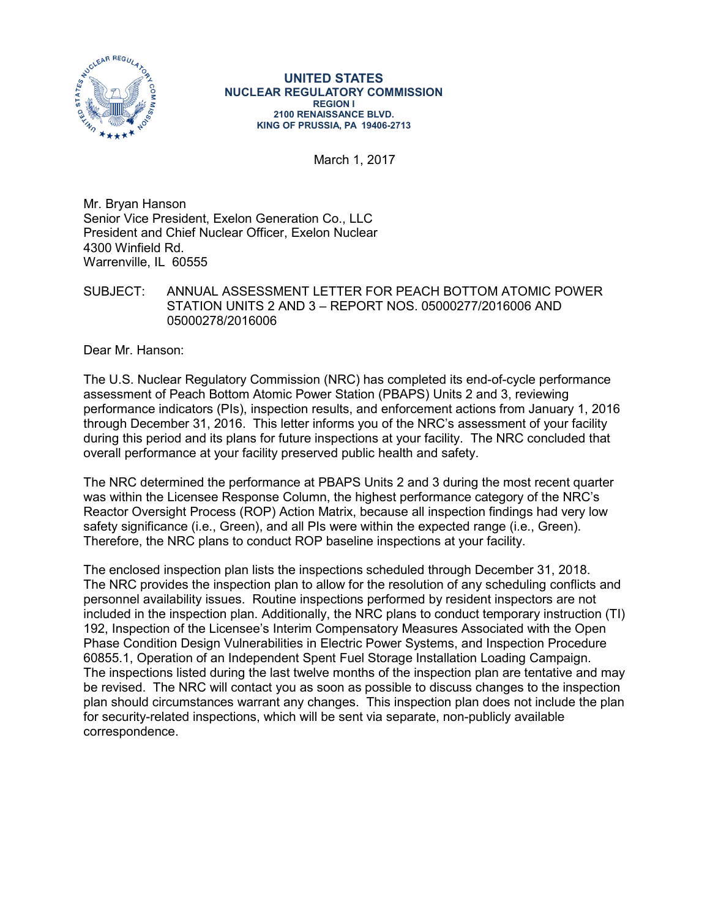

## **UNITED STATES NUCLEAR REGULATORY COMMISSION REGION I 2100 RENAISSANCE BLVD. KING OF PRUSSIA, PA 19406-2713**

March 1, 2017

Mr. Bryan Hanson Senior Vice President, Exelon Generation Co., LLC President and Chief Nuclear Officer, Exelon Nuclear 4300 Winfield Rd. Warrenville, IL 60555

SUBJECT: ANNUAL ASSESSMENT LETTER FOR PEACH BOTTOM ATOMIC POWER STATION UNITS 2 AND 3 – REPORT NOS. 05000277/2016006 AND 05000278/2016006

Dear Mr. Hanson:

The U.S. Nuclear Regulatory Commission (NRC) has completed its end-of-cycle performance assessment of Peach Bottom Atomic Power Station (PBAPS) Units 2 and 3, reviewing performance indicators (PIs), inspection results, and enforcement actions from January 1, 2016 through December 31, 2016. This letter informs you of the NRC's assessment of your facility during this period and its plans for future inspections at your facility. The NRC concluded that overall performance at your facility preserved public health and safety.

The NRC determined the performance at PBAPS Units 2 and 3 during the most recent quarter was within the Licensee Response Column, the highest performance category of the NRC's Reactor Oversight Process (ROP) Action Matrix, because all inspection findings had very low safety significance (i.e., Green), and all PIs were within the expected range (i.e., Green). Therefore, the NRC plans to conduct ROP baseline inspections at your facility.

The enclosed inspection plan lists the inspections scheduled through December 31, 2018. The NRC provides the inspection plan to allow for the resolution of any scheduling conflicts and personnel availability issues. Routine inspections performed by resident inspectors are not included in the inspection plan. Additionally, the NRC plans to conduct temporary instruction (TI) 192, Inspection of the Licensee's Interim Compensatory Measures Associated with the Open Phase Condition Design Vulnerabilities in Electric Power Systems, and Inspection Procedure 60855.1, Operation of an Independent Spent Fuel Storage Installation Loading Campaign. The inspections listed during the last twelve months of the inspection plan are tentative and may be revised. The NRC will contact you as soon as possible to discuss changes to the inspection plan should circumstances warrant any changes. This inspection plan does not include the plan for security-related inspections, which will be sent via separate, non-publicly available correspondence.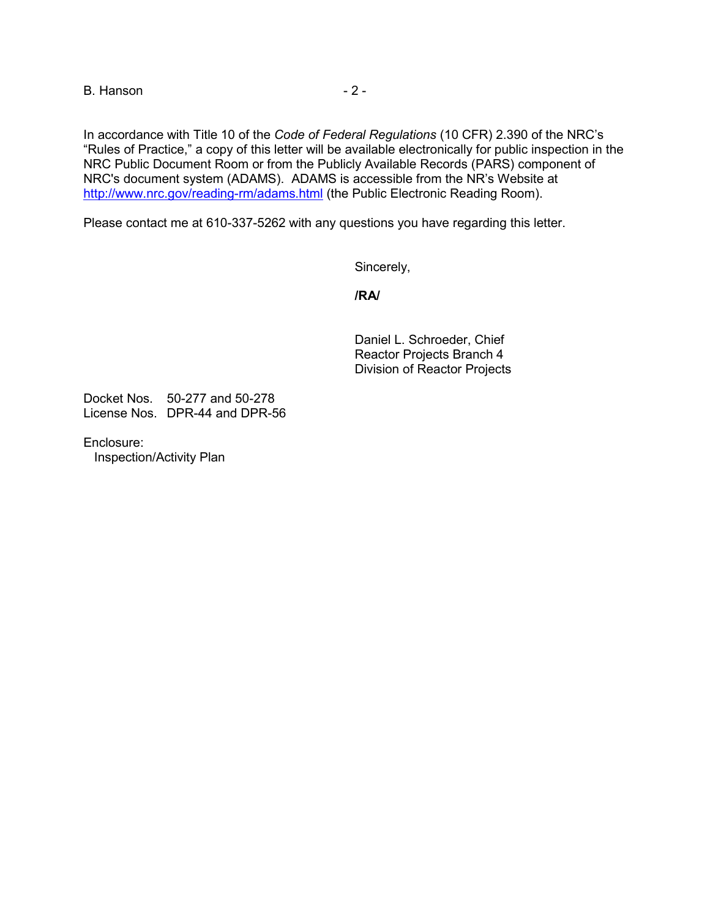B. Hanson **B.** Hanson

In accordance with Title 10 of the *Code of Federal Regulations* (10 CFR) 2.390 of the NRC's "Rules of Practice," a copy of this letter will be available electronically for public inspection in the NRC Public Document Room or from the Publicly Available Records (PARS) component of NRC's document system (ADAMS). ADAMS is accessible from the NR's Website at <http://www.nrc.gov/reading-rm/adams.html> (the Public Electronic Reading Room).

Please contact me at 610-337-5262 with any questions you have regarding this letter.

Sincerely,

**/RA/**

Daniel L. Schroeder, Chief Reactor Projects Branch 4 Division of Reactor Projects

Docket Nos. 50-277 and 50-278 License Nos. DPR-44 and DPR-56

Enclosure: Inspection/Activity Plan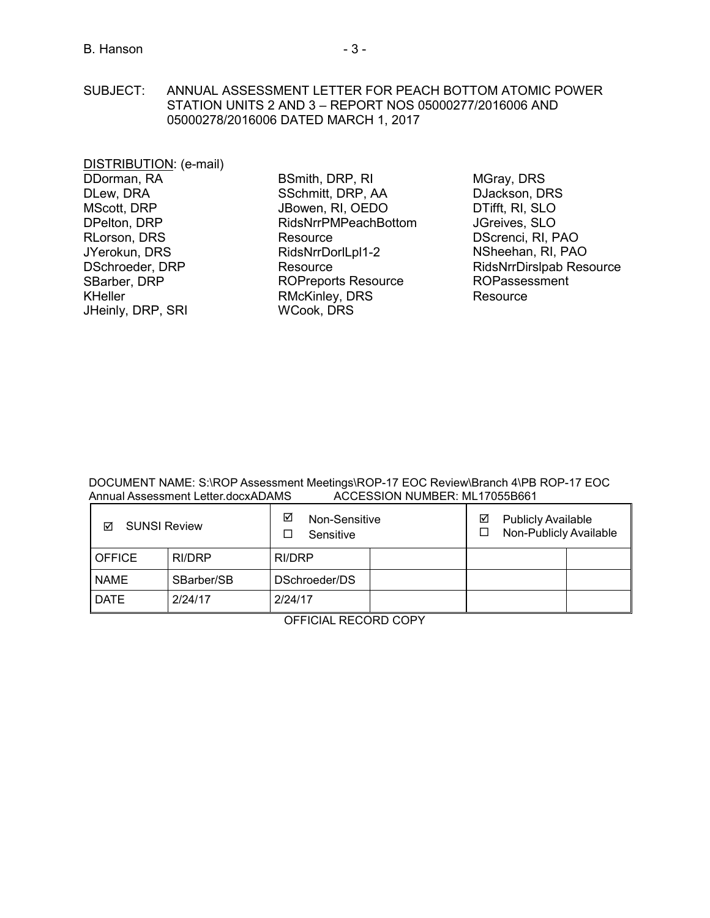SUBJECT: ANNUAL ASSESSMENT LETTER FOR PEACH BOTTOM ATOMIC POWER STATION UNITS 2 AND 3 – REPORT NOS 05000277/2016006 AND 05000278/2016006 DATED MARCH 1, 2017

DISTRIBUTION: (e-mail) DDorman, RA DLew, DRA MScott, DRP DPelton, DRP RLorson, DRS JYerokun, DRS DSchroeder, DRP SBarber, DRP KHeller JHeinly, DRP, SRI

BSmith, DRP, RI SSchmitt, DRP, AA JBowen, RI, OEDO RidsNrrPMPeachBottom **Resource** RidsNrrDorlLpl1-2 **Resource** [ROPreports Reso](mailto:ROPreportsResource@nrc.gov)urce RMcKinley, DRS WCook, DRS

MGray, DRS DJackson, DRS DTifft, RI, SLO JGreives, SLO DScrenci, RI, PAO NSheehan, RI, PAO [RidsNrrDirslpab Resource](mailto:RidsNrrDirslpab@nrc.gov)  ROPassessment Resource

DOCUMENT NAME: S:\ROP Assessment Meetings\ROP-17 EOC Review\Branch 4\PB ROP-17 EOC<br>Annual Assessment Letter.docxADAMS 4CCESSION NUMBER: ML17055B661 Annual Assessment Letter.docxADAMS

| <b>SUNSI Review</b><br>☑ |            | ☑<br>Non-Sensitive<br>Sensitive | <b>Publicly Available</b><br>☑<br>Non-Publicly Available |
|--------------------------|------------|---------------------------------|----------------------------------------------------------|
| OFFICE                   | RI/DRP     | RI/DRP                          |                                                          |
| <b>NAME</b>              | SBarber/SB | DSchroeder/DS                   |                                                          |
| <b>DATE</b>              | 2/24/17    | 2/24/17                         |                                                          |

OFFICIAL RECORD COPY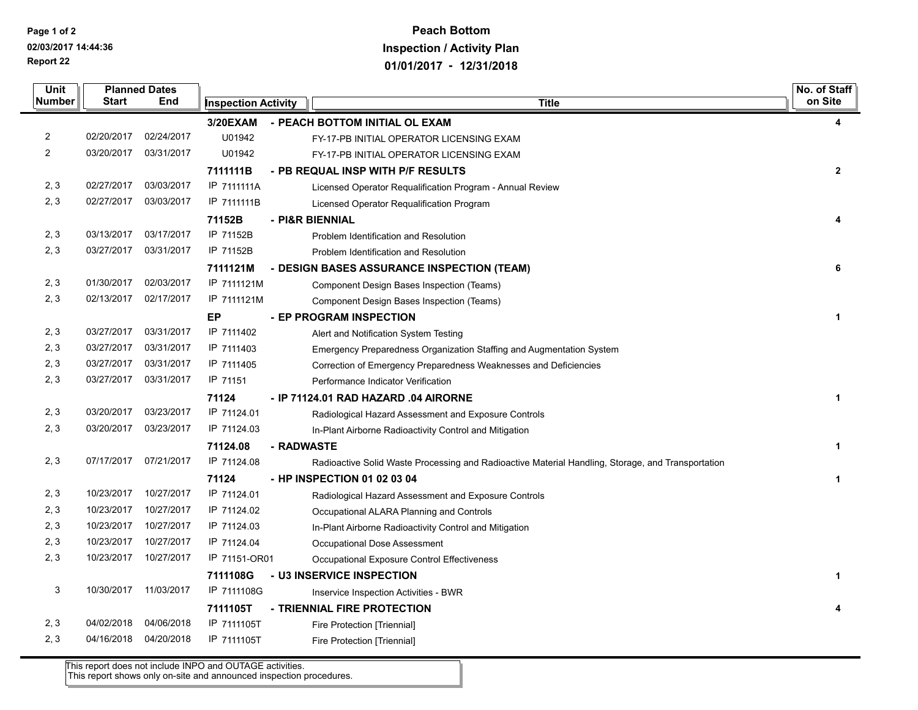**Report 22 Page 1 of 2 02/03/2017 14:44:36**

## **Peach Bottom Inspection / Activity Plan 01/01/2017 - 12/31/2018**

| <b>Unit</b><br>Number   | <b>Start</b> | <b>Planned Dates</b><br>End | <b>Inspection Activity</b> |                 | <b>Title</b>                                                                                      | No. of Staff<br>on Site |
|-------------------------|--------------|-----------------------------|----------------------------|-----------------|---------------------------------------------------------------------------------------------------|-------------------------|
|                         |              |                             | 3/20EXAM                   |                 | - PEACH BOTTOM INITIAL OL EXAM                                                                    |                         |
| 2                       | 02/20/2017   | 02/24/2017                  | U01942                     |                 | FY-17-PB INITIAL OPERATOR LICENSING EXAM                                                          | 4                       |
| $\overline{\mathbf{c}}$ | 03/20/2017   | 03/31/2017                  | U01942                     |                 | FY-17-PB INITIAL OPERATOR LICENSING EXAM                                                          |                         |
|                         |              |                             | 7111111B                   |                 |                                                                                                   | $\overline{2}$          |
| 2, 3                    | 02/27/2017   | 03/03/2017                  | IP 7111111A                |                 | - PB REQUAL INSP WITH P/F RESULTS                                                                 |                         |
| 2, 3                    | 02/27/2017   | 03/03/2017                  | IP 7111111B                |                 | Licensed Operator Requalification Program - Annual Review                                         |                         |
|                         |              |                             |                            |                 | Licensed Operator Requalification Program                                                         |                         |
| 2, 3                    | 03/13/2017   | 03/17/2017                  | 71152B<br>IP 71152B        | - PI&R BIENNIAL |                                                                                                   | 4                       |
| 2, 3                    | 03/27/2017   | 03/31/2017                  |                            |                 | Problem Identification and Resolution                                                             |                         |
|                         |              |                             | IP 71152B                  |                 | Problem Identification and Resolution                                                             |                         |
|                         |              |                             | 7111121M                   |                 | - DESIGN BASES ASSURANCE INSPECTION (TEAM)                                                        | 6                       |
| 2, 3                    | 01/30/2017   | 02/03/2017                  | IP 7111121M                |                 | Component Design Bases Inspection (Teams)                                                         |                         |
| 2, 3                    | 02/13/2017   | 02/17/2017                  | IP 7111121M                |                 | Component Design Bases Inspection (Teams)                                                         |                         |
|                         |              |                             | ЕP                         |                 | - EP PROGRAM INSPECTION                                                                           | $\mathbf{1}$            |
| 2, 3                    | 03/27/2017   | 03/31/2017                  | IP 7111402                 |                 | Alert and Notification System Testing                                                             |                         |
| 2, 3                    | 03/27/2017   | 03/31/2017                  | IP 7111403                 |                 | Emergency Preparedness Organization Staffing and Augmentation System                              |                         |
| 2, 3                    | 03/27/2017   | 03/31/2017                  | IP 7111405                 |                 | Correction of Emergency Preparedness Weaknesses and Deficiencies                                  |                         |
| 2, 3                    | 03/27/2017   | 03/31/2017                  | IP 71151                   |                 | Performance Indicator Verification                                                                |                         |
|                         |              |                             | 71124                      |                 | - IP 71124.01 RAD HAZARD .04 AIRORNE                                                              | $\mathbf{1}$            |
| 2, 3                    | 03/20/2017   | 03/23/2017                  | IP 71124.01                |                 | Radiological Hazard Assessment and Exposure Controls                                              |                         |
| 2, 3                    | 03/20/2017   | 03/23/2017                  | IP 71124.03                |                 | In-Plant Airborne Radioactivity Control and Mitigation                                            |                         |
|                         |              |                             | 71124.08                   | - RADWASTE      |                                                                                                   | $\mathbf{1}$            |
| 2, 3                    | 07/17/2017   | 07/21/2017                  | IP 71124.08                |                 | Radioactive Solid Waste Processing and Radioactive Material Handling, Storage, and Transportation |                         |
|                         |              |                             | 71124                      |                 | - HP INSPECTION 01 02 03 04                                                                       | 1                       |
| 2, 3                    | 10/23/2017   | 10/27/2017                  | IP 71124.01                |                 | Radiological Hazard Assessment and Exposure Controls                                              |                         |
| 2, 3                    | 10/23/2017   | 10/27/2017                  | IP 71124.02                |                 | Occupational ALARA Planning and Controls                                                          |                         |
| 2, 3                    | 10/23/2017   | 10/27/2017                  | IP 71124.03                |                 | In-Plant Airborne Radioactivity Control and Mitigation                                            |                         |
| 2, 3                    | 10/23/2017   | 10/27/2017                  | IP 71124.04                |                 | Occupational Dose Assessment                                                                      |                         |
| 2, 3                    | 10/23/2017   | 10/27/2017                  | IP 71151-OR01              |                 | Occupational Exposure Control Effectiveness                                                       |                         |
|                         |              |                             | 7111108G                   |                 | - U3 INSERVICE INSPECTION                                                                         | $\mathbf{1}$            |
| 3                       | 10/30/2017   | 11/03/2017                  | IP 7111108G                |                 | Inservice Inspection Activities - BWR                                                             |                         |
|                         |              |                             | 7111105T                   |                 | - TRIENNIAL FIRE PROTECTION                                                                       | 4                       |
| 2, 3                    | 04/02/2018   | 04/06/2018                  | IP 7111105T                |                 | Fire Protection [Triennial]                                                                       |                         |
| 2, 3                    | 04/16/2018   | 04/20/2018                  | IP 7111105T                |                 | Fire Protection [Triennial]                                                                       |                         |
|                         |              |                             |                            |                 |                                                                                                   |                         |

This report does not include INPO and OUTAGE activities. This report shows only on-site and announced inspection procedures.